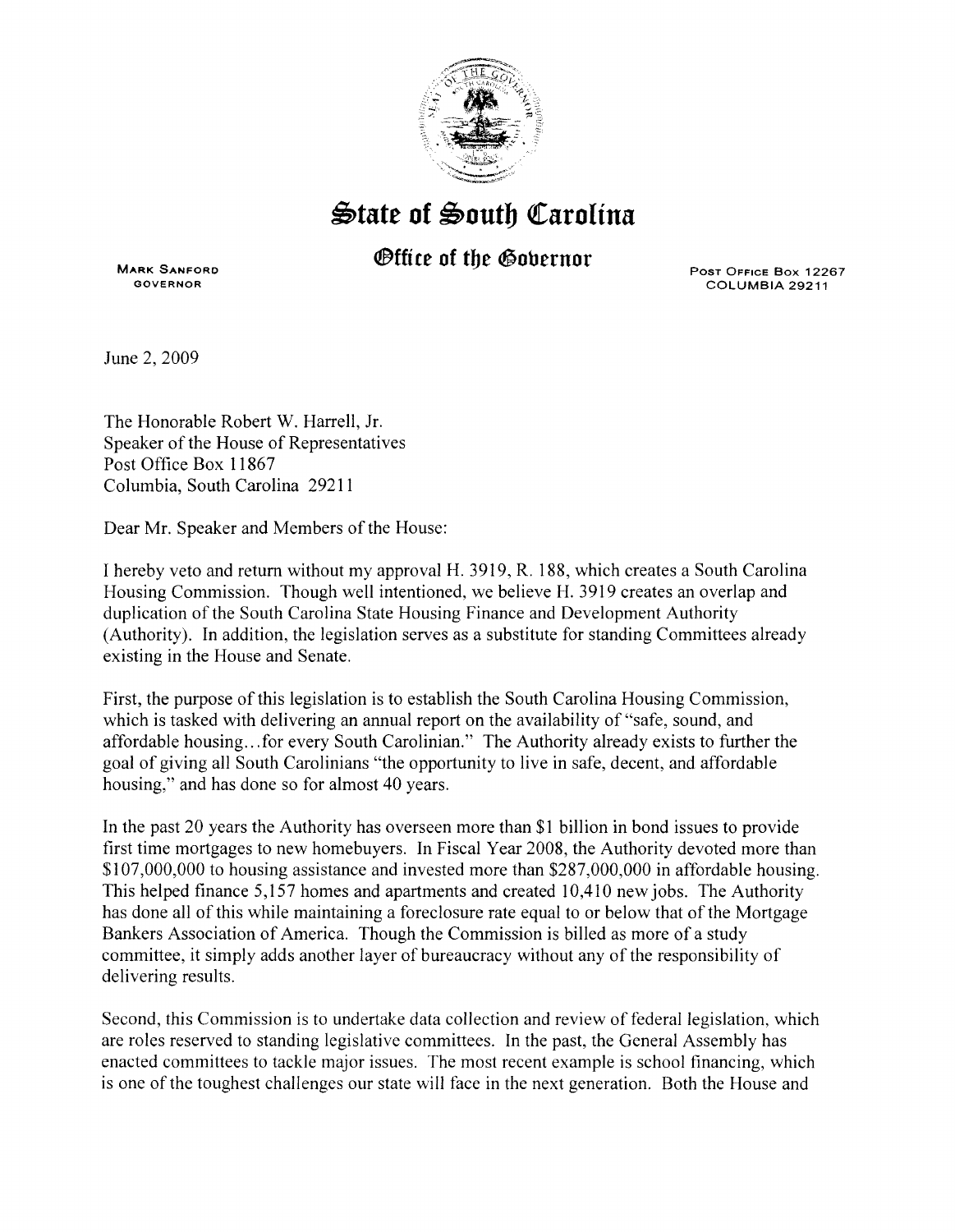

## ~tate **of** ~outb ~arolina

## *<u>Office of the Governor</u>*

**MARK SANFORD**  GOVERNOR

PosT OFFICE Box 12267 COLUMBIA 29211

June 2, 2009

The Honorable Robert W. Harrell, Jr. Speaker of the House of Representatives Post Office Box 11867 Columbia, South Carolina 29211

Dear Mr. Speaker and Members of the House:

I hereby veto and return without my approval H. 3919, R. 188, which creates a South Carolina Housing Commission. Though well intentioned, we believe **H.** 3919 creates an overlap and duplication of the South Carolina State Housing Finance and Development Authority (Authority). In addition, the legislation serves as a substitute for standing Committees already existing in the House and Senate.

First, the purpose of this legislation is to establish the South Carolina Housing Commission, which is tasked with delivering an annual report on the availability of "safe, sound, and affordable housing ... for every South Carolinian." The Authority already exists to further the goal of giving all South Carolinians "the opportunity to live in safe, decent, and affordable housing," and has done so for almost 40 years.

In the past 20 years the Authority has overseen more than **\$1** billion in bond issues to provide first time mortgages to new homebuyers. In Fiscal Year 2008, the Authority devoted more than \$107,000,000 to housing assistance and invested more than \$287,000,000 in affordable housing. This helped finance 5,157 homes and apartments and created 10,410 new jobs. The Authority has done all of this while maintaining a foreclosure rate equal to or below that of the Mortgage Bankers Association of America. Though the Commission is billed as more of a study committee, it simply adds another layer of bureaucracy without any of the responsibility of delivering results.

Second, this Commission is to undertake data collection and review of federal legislation, which are roles reserved to standing legislative committees. In the past, the General Assembly has enacted committees to tackle major issues. The most recent example is school financing, which is one of the toughest challenges our state will face in the next generation. Both the House and